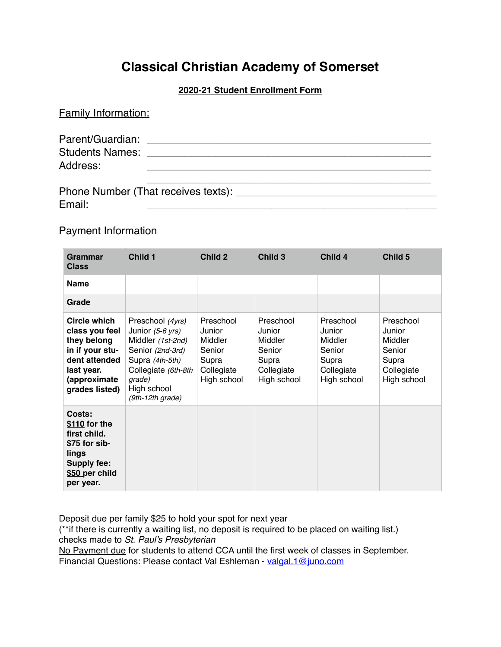# **Classical Christian Academy of Somerset**

## **2020-21 Student Enrollment Form**

| <b>Family Information:</b>         |                                     |
|------------------------------------|-------------------------------------|
| <b>Students Names:</b><br>Address: |                                     |
| Email:                             | Phone Number (That receives texts): |

# Payment Information

| Grammar<br><b>Class</b>                                                                                                                  | Child 1                                                                                                                                                                | Child 2                                                                        | Child 3                                                                        | Child 4                                                                        | Child 5                                                                        |
|------------------------------------------------------------------------------------------------------------------------------------------|------------------------------------------------------------------------------------------------------------------------------------------------------------------------|--------------------------------------------------------------------------------|--------------------------------------------------------------------------------|--------------------------------------------------------------------------------|--------------------------------------------------------------------------------|
| <b>Name</b>                                                                                                                              |                                                                                                                                                                        |                                                                                |                                                                                |                                                                                |                                                                                |
| Grade                                                                                                                                    |                                                                                                                                                                        |                                                                                |                                                                                |                                                                                |                                                                                |
| <b>Circle which</b><br>class you feel<br>they belong<br>in if your stu-<br>dent attended<br>last year.<br>(approximate<br>grades listed) | Preschool (4yrs)<br>Junior $(5-6$ yrs)<br>Middler (1st-2nd)<br>Senior (2nd-3rd)<br>Supra (4th-5th)<br>Collegiate (6th-8th<br>grade)<br>High school<br>(9th-12th grade) | Preschool<br>Junior<br>Middler<br>Senior<br>Supra<br>Collegiate<br>High school | Preschool<br>Junior<br>Middler<br>Senior<br>Supra<br>Collegiate<br>High school | Preschool<br>Junior<br>Middler<br>Senior<br>Supra<br>Collegiate<br>High school | Preschool<br>Junior<br>Middler<br>Senior<br>Supra<br>Collegiate<br>High school |
| Costs:<br>\$110 for the<br>first child.<br>\$75 for sib-<br>lings<br>Supply fee:<br>\$50 per child<br>per year.                          |                                                                                                                                                                        |                                                                                |                                                                                |                                                                                |                                                                                |

Deposit due per family \$25 to hold your spot for next year

(\*\*if there is currently a waiting list, no deposit is required to be placed on waiting list.) checks made to *St. Paul's Presbyterian*

No Payment due for students to attend CCA until the first week of classes in September. Financial Questions: Please contact Val Eshleman - [valgal.1@juno.com](mailto:valgal.1@juno.com)